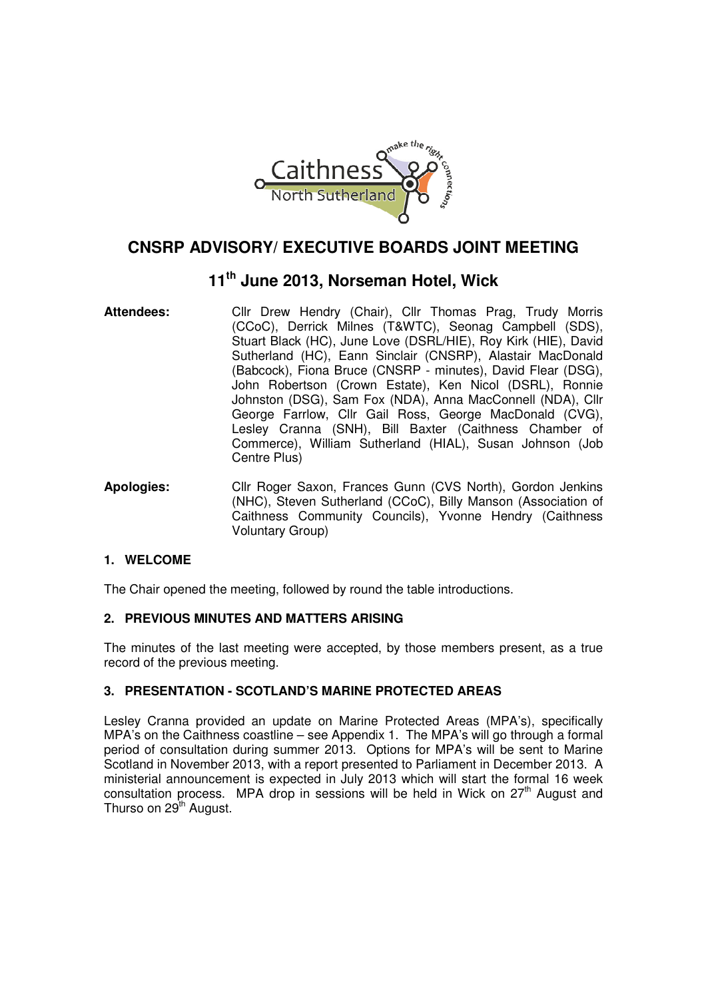

# **CNSRP ADVISORY/ EXECUTIVE BOARDS JOINT MEETING**

# **11th June 2013, Norseman Hotel, Wick**

- Attendees: Cllr Drew Hendry (Chair), Cllr Thomas Prag, Trudy Morris (CCoC), Derrick Milnes (T&WTC), Seonag Campbell (SDS), Stuart Black (HC), June Love (DSRL/HIE), Roy Kirk (HIE), David Sutherland (HC), Eann Sinclair (CNSRP), Alastair MacDonald (Babcock), Fiona Bruce (CNSRP - minutes), David Flear (DSG), John Robertson (Crown Estate), Ken Nicol (DSRL), Ronnie Johnston (DSG), Sam Fox (NDA), Anna MacConnell (NDA), Cllr George Farrlow, Cllr Gail Ross, George MacDonald (CVG), Lesley Cranna (SNH), Bill Baxter (Caithness Chamber of Commerce), William Sutherland (HIAL), Susan Johnson (Job Centre Plus)
- **Apologies:** Cllr Roger Saxon, Frances Gunn (CVS North), Gordon Jenkins (NHC), Steven Sutherland (CCoC), Billy Manson (Association of Caithness Community Councils), Yvonne Hendry (Caithness Voluntary Group)

# **1. WELCOME**

The Chair opened the meeting, followed by round the table introductions.

# **2. PREVIOUS MINUTES AND MATTERS ARISING**

The minutes of the last meeting were accepted, by those members present, as a true record of the previous meeting.

# **3. PRESENTATION - SCOTLAND'S MARINE PROTECTED AREAS**

Lesley Cranna provided an update on Marine Protected Areas (MPA's), specifically MPA's on the Caithness coastline – see Appendix 1. The MPA's will go through a formal period of consultation during summer 2013. Options for MPA's will be sent to Marine Scotland in November 2013, with a report presented to Parliament in December 2013. A ministerial announcement is expected in July 2013 which will start the formal 16 week consultation process. MPA drop in sessions will be held in Wick on  $27<sup>th</sup>$  August and Thurso on  $29<sup>th</sup>$  August.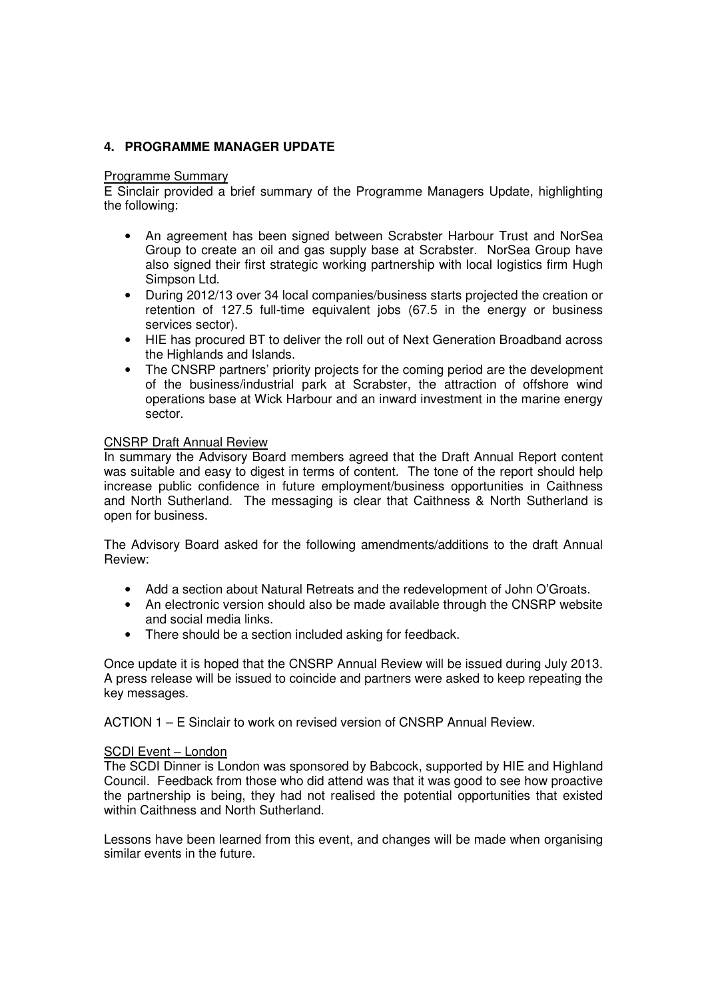## **4. PROGRAMME MANAGER UPDATE**

#### Programme Summary

E Sinclair provided a brief summary of the Programme Managers Update, highlighting the following:

- An agreement has been signed between Scrabster Harbour Trust and NorSea Group to create an oil and gas supply base at Scrabster. NorSea Group have also signed their first strategic working partnership with local logistics firm Hugh Simpson Ltd.
- During 2012/13 over 34 local companies/business starts projected the creation or retention of 127.5 full-time equivalent jobs (67.5 in the energy or business services sector).
- HIE has procured BT to deliver the roll out of Next Generation Broadband across the Highlands and Islands.
- The CNSRP partners' priority projects for the coming period are the development of the business/industrial park at Scrabster, the attraction of offshore wind operations base at Wick Harbour and an inward investment in the marine energy sector.

### CNSRP Draft Annual Review

In summary the Advisory Board members agreed that the Draft Annual Report content was suitable and easy to digest in terms of content. The tone of the report should help increase public confidence in future employment/business opportunities in Caithness and North Sutherland. The messaging is clear that Caithness & North Sutherland is open for business.

The Advisory Board asked for the following amendments/additions to the draft Annual Review:

- Add a section about Natural Retreats and the redevelopment of John O'Groats.
- An electronic version should also be made available through the CNSRP website and social media links.
- There should be a section included asking for feedback.

Once update it is hoped that the CNSRP Annual Review will be issued during July 2013. A press release will be issued to coincide and partners were asked to keep repeating the key messages.

ACTION 1 – E Sinclair to work on revised version of CNSRP Annual Review.

### SCDI Event – London

The SCDI Dinner is London was sponsored by Babcock, supported by HIE and Highland Council. Feedback from those who did attend was that it was good to see how proactive the partnership is being, they had not realised the potential opportunities that existed within Caithness and North Sutherland.

Lessons have been learned from this event, and changes will be made when organising similar events in the future.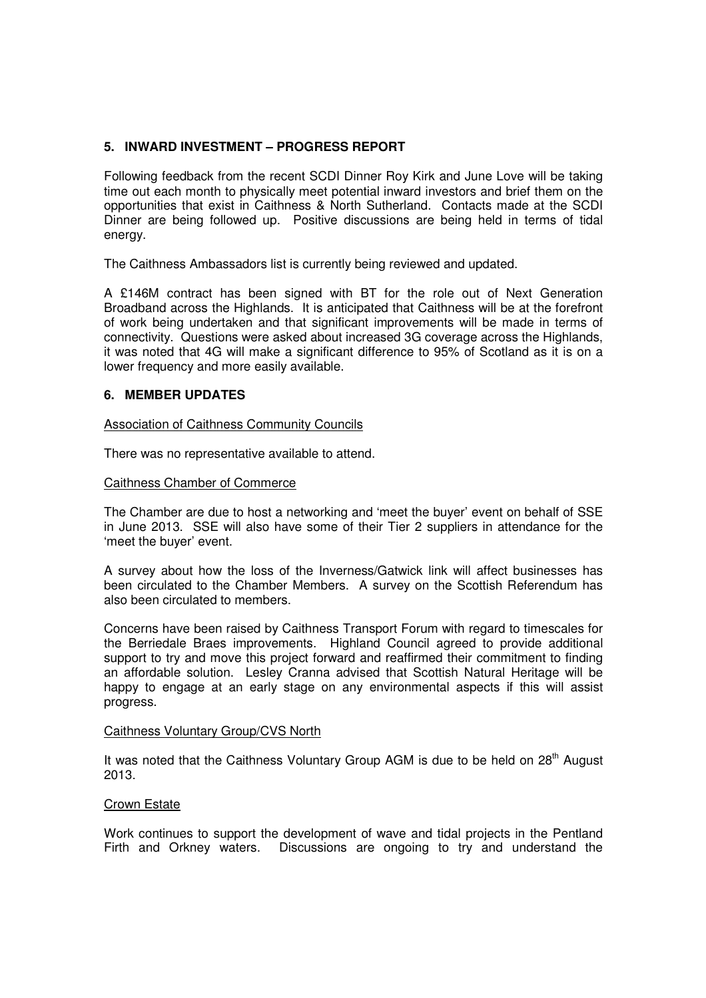# **5. INWARD INVESTMENT – PROGRESS REPORT**

Following feedback from the recent SCDI Dinner Roy Kirk and June Love will be taking time out each month to physically meet potential inward investors and brief them on the opportunities that exist in Caithness & North Sutherland. Contacts made at the SCDI Dinner are being followed up. Positive discussions are being held in terms of tidal energy.

The Caithness Ambassadors list is currently being reviewed and updated.

A £146M contract has been signed with BT for the role out of Next Generation Broadband across the Highlands. It is anticipated that Caithness will be at the forefront of work being undertaken and that significant improvements will be made in terms of connectivity. Questions were asked about increased 3G coverage across the Highlands, it was noted that 4G will make a significant difference to 95% of Scotland as it is on a lower frequency and more easily available.

# **6. MEMBER UPDATES**

### Association of Caithness Community Councils

There was no representative available to attend.

### Caithness Chamber of Commerce

The Chamber are due to host a networking and 'meet the buyer' event on behalf of SSE in June 2013. SSE will also have some of their Tier 2 suppliers in attendance for the 'meet the buyer' event.

A survey about how the loss of the Inverness/Gatwick link will affect businesses has been circulated to the Chamber Members. A survey on the Scottish Referendum has also been circulated to members.

Concerns have been raised by Caithness Transport Forum with regard to timescales for the Berriedale Braes improvements. Highland Council agreed to provide additional support to try and move this project forward and reaffirmed their commitment to finding an affordable solution. Lesley Cranna advised that Scottish Natural Heritage will be happy to engage at an early stage on any environmental aspects if this will assist progress.

### Caithness Voluntary Group/CVS North

It was noted that the Caithness Voluntary Group  $AGM$  is due to be held on  $28<sup>th</sup>$  August 2013.

### Crown Estate

Work continues to support the development of wave and tidal projects in the Pentland Firth and Orkney waters. Discussions are ongoing to try and understand the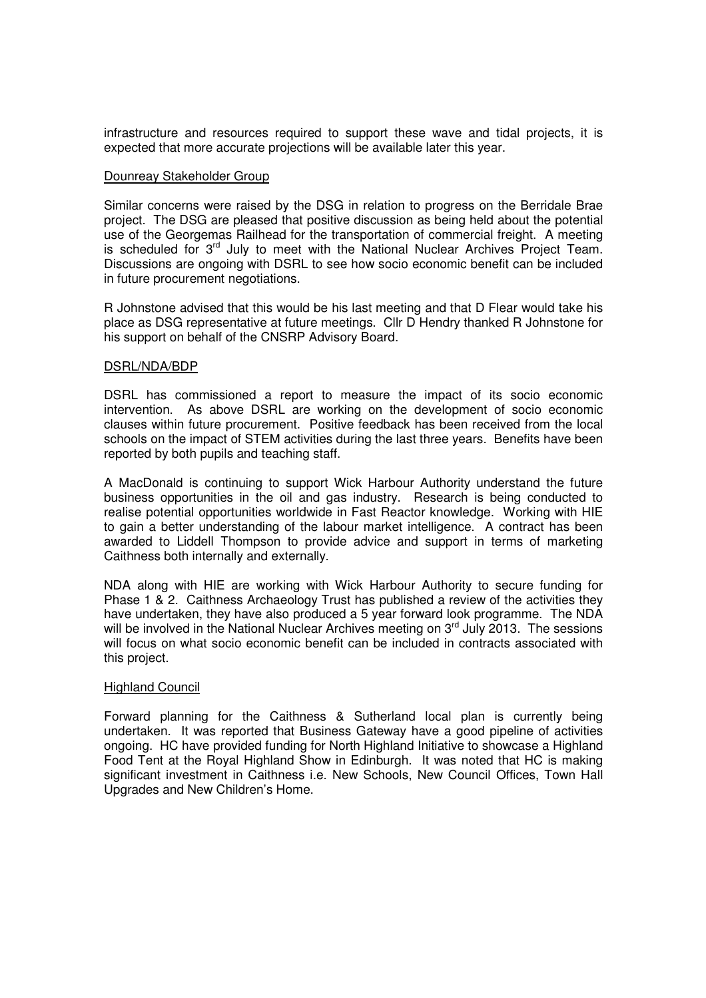infrastructure and resources required to support these wave and tidal projects, it is expected that more accurate projections will be available later this year.

#### Dounreay Stakeholder Group

Similar concerns were raised by the DSG in relation to progress on the Berridale Brae project. The DSG are pleased that positive discussion as being held about the potential use of the Georgemas Railhead for the transportation of commercial freight. A meeting is scheduled for 3<sup>rd</sup> July to meet with the National Nuclear Archives Project Team. Discussions are ongoing with DSRL to see how socio economic benefit can be included in future procurement negotiations.

R Johnstone advised that this would be his last meeting and that D Flear would take his place as DSG representative at future meetings. Cllr D Hendry thanked R Johnstone for his support on behalf of the CNSRP Advisory Board.

### DSRL/NDA/BDP

DSRL has commissioned a report to measure the impact of its socio economic intervention. As above DSRL are working on the development of socio economic clauses within future procurement. Positive feedback has been received from the local schools on the impact of STEM activities during the last three years. Benefits have been reported by both pupils and teaching staff.

A MacDonald is continuing to support Wick Harbour Authority understand the future business opportunities in the oil and gas industry. Research is being conducted to realise potential opportunities worldwide in Fast Reactor knowledge. Working with HIE to gain a better understanding of the labour market intelligence. A contract has been awarded to Liddell Thompson to provide advice and support in terms of marketing Caithness both internally and externally.

NDA along with HIE are working with Wick Harbour Authority to secure funding for Phase 1 & 2. Caithness Archaeology Trust has published a review of the activities they have undertaken, they have also produced a 5 year forward look programme. The NDA will be involved in the National Nuclear Archives meeting on  $3<sup>rd</sup>$  July 2013. The sessions will focus on what socio economic benefit can be included in contracts associated with this project.

## **Highland Council**

Forward planning for the Caithness & Sutherland local plan is currently being undertaken. It was reported that Business Gateway have a good pipeline of activities ongoing. HC have provided funding for North Highland Initiative to showcase a Highland Food Tent at the Royal Highland Show in Edinburgh. It was noted that HC is making significant investment in Caithness i.e. New Schools, New Council Offices, Town Hall Upgrades and New Children's Home.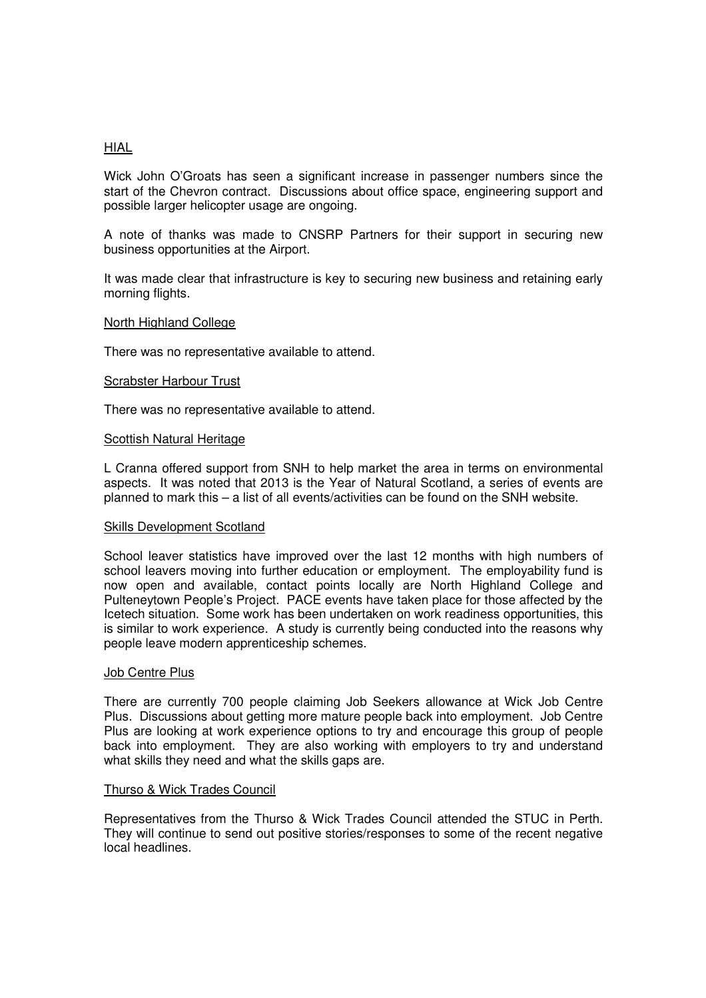### HIAL

Wick John O'Groats has seen a significant increase in passenger numbers since the start of the Chevron contract. Discussions about office space, engineering support and possible larger helicopter usage are ongoing.

A note of thanks was made to CNSRP Partners for their support in securing new business opportunities at the Airport.

It was made clear that infrastructure is key to securing new business and retaining early morning flights.

#### North Highland College

There was no representative available to attend.

#### Scrabster Harbour Trust

There was no representative available to attend.

#### Scottish Natural Heritage

L Cranna offered support from SNH to help market the area in terms on environmental aspects. It was noted that 2013 is the Year of Natural Scotland, a series of events are planned to mark this – a list of all events/activities can be found on the SNH website.

### Skills Development Scotland

School leaver statistics have improved over the last 12 months with high numbers of school leavers moving into further education or employment. The employability fund is now open and available, contact points locally are North Highland College and Pulteneytown People's Project. PACE events have taken place for those affected by the Icetech situation. Some work has been undertaken on work readiness opportunities, this is similar to work experience. A study is currently being conducted into the reasons why people leave modern apprenticeship schemes.

#### Job Centre Plus

There are currently 700 people claiming Job Seekers allowance at Wick Job Centre Plus. Discussions about getting more mature people back into employment. Job Centre Plus are looking at work experience options to try and encourage this group of people back into employment. They are also working with employers to try and understand what skills they need and what the skills gaps are.

## Thurso & Wick Trades Council

Representatives from the Thurso & Wick Trades Council attended the STUC in Perth. They will continue to send out positive stories/responses to some of the recent negative local headlines.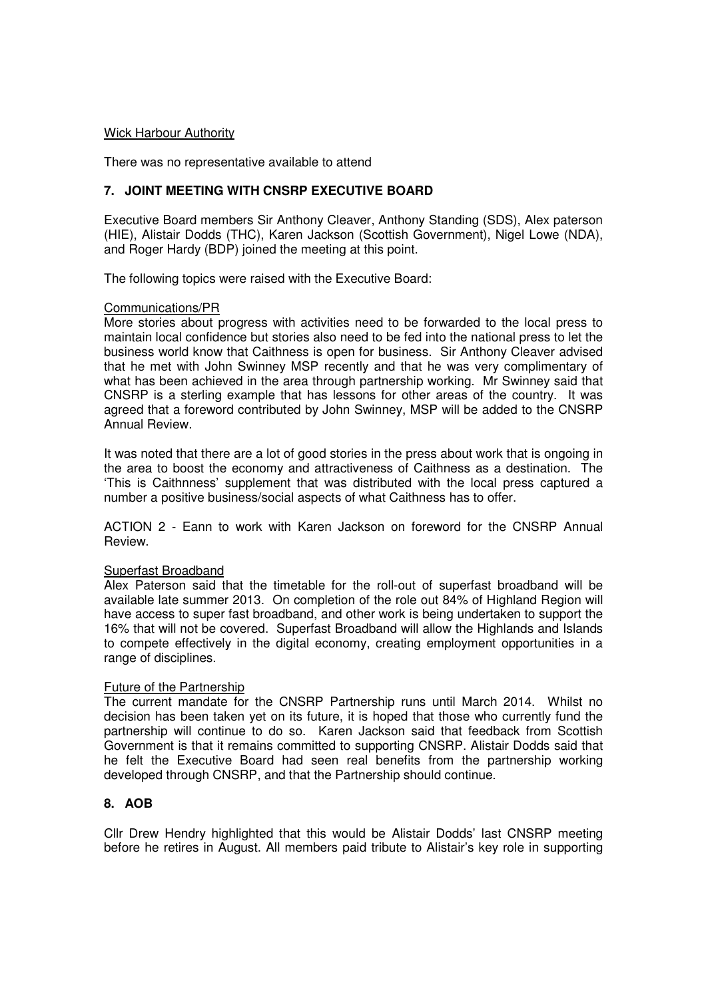### Wick Harbour Authority

There was no representative available to attend

# **7. JOINT MEETING WITH CNSRP EXECUTIVE BOARD**

Executive Board members Sir Anthony Cleaver, Anthony Standing (SDS), Alex paterson (HIE), Alistair Dodds (THC), Karen Jackson (Scottish Government), Nigel Lowe (NDA), and Roger Hardy (BDP) joined the meeting at this point.

The following topics were raised with the Executive Board:

## Communications/PR

More stories about progress with activities need to be forwarded to the local press to maintain local confidence but stories also need to be fed into the national press to let the business world know that Caithness is open for business. Sir Anthony Cleaver advised that he met with John Swinney MSP recently and that he was very complimentary of what has been achieved in the area through partnership working. Mr Swinney said that CNSRP is a sterling example that has lessons for other areas of the country. It was agreed that a foreword contributed by John Swinney, MSP will be added to the CNSRP Annual Review.

It was noted that there are a lot of good stories in the press about work that is ongoing in the area to boost the economy and attractiveness of Caithness as a destination. The 'This is Caithnness' supplement that was distributed with the local press captured a number a positive business/social aspects of what Caithness has to offer.

ACTION 2 - Eann to work with Karen Jackson on foreword for the CNSRP Annual Review.

### Superfast Broadband

Alex Paterson said that the timetable for the roll-out of superfast broadband will be available late summer 2013. On completion of the role out 84% of Highland Region will have access to super fast broadband, and other work is being undertaken to support the 16% that will not be covered. Superfast Broadband will allow the Highlands and Islands to compete effectively in the digital economy, creating employment opportunities in a range of disciplines.

# Future of the Partnership

The current mandate for the CNSRP Partnership runs until March 2014. Whilst no decision has been taken yet on its future, it is hoped that those who currently fund the partnership will continue to do so. Karen Jackson said that feedback from Scottish Government is that it remains committed to supporting CNSRP. Alistair Dodds said that he felt the Executive Board had seen real benefits from the partnership working developed through CNSRP, and that the Partnership should continue.

# **8. AOB**

Cllr Drew Hendry highlighted that this would be Alistair Dodds' last CNSRP meeting before he retires in August. All members paid tribute to Alistair's key role in supporting